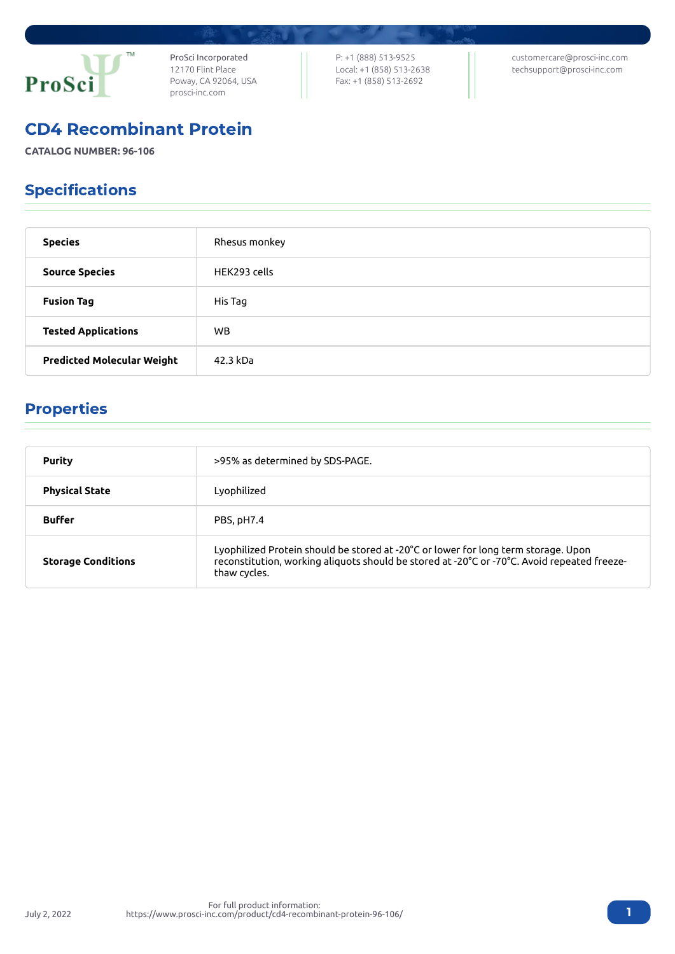

ProSci Incorporated 12170 Flint Place Poway, CA 92064, USA [prosci-inc.com](https://prosci-inc.com/)

P: +1 (888) 513-9525 Local: +1 (858) 513-2638 Fax: +1 (858) 513-2692

[customercare@prosci-inc.com](mailto:customercare@prosci-inc.com) [techsupport@prosci-inc.com](mailto:techsupport@prosci-inc.com)

### CD4 Recombinant Protein

**CATALOG NUMBER: 96-106**

# Specifications

| <b>Species</b>                    | Rhesus monkey |
|-----------------------------------|---------------|
| <b>Source Species</b>             | HEK293 cells  |
| <b>Fusion Tag</b>                 | His Tag       |
| <b>Tested Applications</b>        | WB.           |
| <b>Predicted Molecular Weight</b> | 42.3 kDa      |

# Properties

| <b>Purity</b>             | >95% as determined by SDS-PAGE.                                                                                                                                                                   |
|---------------------------|---------------------------------------------------------------------------------------------------------------------------------------------------------------------------------------------------|
| <b>Physical State</b>     | Lyophilized                                                                                                                                                                                       |
| <b>Buffer</b>             | PBS, pH7.4                                                                                                                                                                                        |
| <b>Storage Conditions</b> | Lyophilized Protein should be stored at -20°C or lower for long term storage. Upon<br>reconstitution, working aliquots should be stored at -20°C or -70°C. Avoid repeated freeze-<br>thaw cycles. |